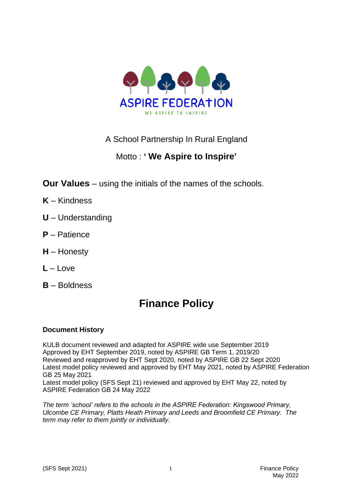

## A School Partnership In Rural England

# Motto : **' We Aspire to Inspire'**

- **Our Values** using the initials of the names of the schools.
- **K** Kindness
- **U** Understanding
- **P** Patience
- **H** Honesty
- $L L$ ove
- **B** Boldness

# **Finance Policy**

### **Document History**

KULB document reviewed and adapted for ASPIRE wide use September 2019 Approved by EHT September 2019, noted by ASPIRE GB Term 1, 2019/20 Reviewed and reapproved by EHT Sept 2020, noted by ASPIRE GB 22 Sept 2020 Latest model policy reviewed and approved by EHT May 2021, noted by ASPIRE Federation GB 25 May 2021

Latest model policy (SFS Sept 21) reviewed and approved by EHT May 22, noted by ASPIRE Federation GB 24 May 2022

*The term 'school' refers to the schools in the ASPIRE Federation: Kingswood Primary, Ulcombe CE Primary, Platts Heath Primary and Leeds and Broomfield CE Primary. The term may refer to them jointly or individually.*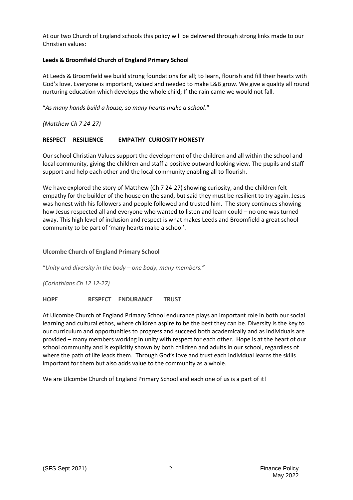At our two Church of England schools this policy will be delivered through strong links made to our Christian values:

#### **Leeds & Broomfield Church of England Primary School**

At Leeds & Broomfield we build strong foundations for all; to learn, flourish and fill their hearts with God's love. Everyone is important, valued and needed to make L&B grow. We give a quality all round nurturing education which develops the whole child; If the rain came we would not fall.

"*As many hands build a house, so many hearts make a school."*

*(Matthew Ch 7 24-27)*

#### **RESPECT RESILIENCE EMPATHY CURIOSITY HONESTY**

Our school Christian Values support the development of the children and all within the school and local community, giving the children and staff a positive outward looking view. The pupils and staff support and help each other and the local community enabling all to flourish.

We have explored the story of Matthew (Ch 7 24-27) showing curiosity, and the children felt empathy for the builder of the house on the sand, but said they must be resilient to try again. Jesus was honest with his followers and people followed and trusted him. The story continues showing how Jesus respected all and everyone who wanted to listen and learn could – no one was turned away. This high level of inclusion and respect is what makes Leeds and Broomfield a great school community to be part of 'many hearts make a school'.

#### **Ulcombe Church of England Primary School**

"*Unity and diversity in the body – one body, many members."*

*(Corinthians Ch 12 12-27)*

**HOPE RESPECT ENDURANCE TRUST**

At Ulcombe Church of England Primary School endurance plays an important role in both our social learning and cultural ethos, where children aspire to be the best they can be. Diversity is the key to our curriculum and opportunities to progress and succeed both academically and as individuals are provided – many members working in unity with respect for each other. Hope is at the heart of our school community and is explicitly shown by both children and adults in our school, regardless of where the path of life leads them. Through God's love and trust each individual learns the skills important for them but also adds value to the community as a whole.

We are Ulcombe Church of England Primary School and each one of us is a part of it!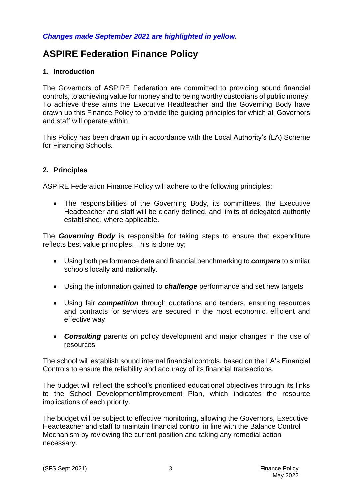#### *Changes made September 2021 are highlighted in yellow.*

# **ASPIRE Federation Finance Policy**

#### **1. Introduction**

The Governors of ASPIRE Federation are committed to providing sound financial controls, to achieving value for money and to being worthy custodians of public money. To achieve these aims the Executive Headteacher and the Governing Body have drawn up this Finance Policy to provide the guiding principles for which all Governors and staff will operate within.

This Policy has been drawn up in accordance with the Local Authority's (LA) Scheme for Financing Schools*.*

#### **2. Principles**

ASPIRE Federation Finance Policy will adhere to the following principles;

• The responsibilities of the Governing Body, its committees, the Executive Headteacher and staff will be clearly defined, and limits of delegated authority established, where applicable.

The *Governing Body* is responsible for taking steps to ensure that expenditure reflects best value principles. This is done by;

- Using both performance data and financial benchmarking to *compare* to similar schools locally and nationally.
- Using the information gained to *challenge* performance and set new targets
- Using fair *competition* through quotations and tenders, ensuring resources and contracts for services are secured in the most economic, efficient and effective way
- *Consulting* parents on policy development and major changes in the use of resources

The school will establish sound internal financial controls, based on the LA's Financial Controls to ensure the reliability and accuracy of its financial transactions.

The budget will reflect the school's prioritised educational objectives through its links to the School Development/Improvement Plan, which indicates the resource implications of each priority.

The budget will be subject to effective monitoring, allowing the Governors, Executive Headteacher and staff to maintain financial control in line with the Balance Control Mechanism by reviewing the current position and taking any remedial action necessary.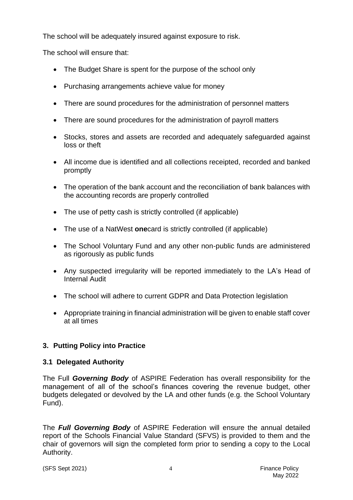The school will be adequately insured against exposure to risk.

The school will ensure that:

- The Budget Share is spent for the purpose of the school only
- Purchasing arrangements achieve value for money
- There are sound procedures for the administration of personnel matters
- There are sound procedures for the administration of payroll matters
- Stocks, stores and assets are recorded and adequately safeguarded against loss or theft
- All income due is identified and all collections receipted, recorded and banked promptly
- The operation of the bank account and the reconciliation of bank balances with the accounting records are properly controlled
- The use of petty cash is strictly controlled (if applicable)
- The use of a NatWest **one**card is strictly controlled (if applicable)
- The School Voluntary Fund and any other non-public funds are administered as rigorously as public funds
- Any suspected irregularity will be reported immediately to the LA's Head of Internal Audit
- The school will adhere to current GDPR and Data Protection legislation
- Appropriate training in financial administration will be given to enable staff cover at all times

## **3. Putting Policy into Practice**

## **3.1 Delegated Authority**

The Full *Governing Body* of ASPIRE Federation has overall responsibility for the management of all of the school's finances covering the revenue budget, other budgets delegated or devolved by the LA and other funds (e.g. the School Voluntary Fund).

The *Full Governing Body* of ASPIRE Federation will ensure the annual detailed report of the Schools Financial Value Standard (SFVS) is provided to them and the chair of governors will sign the completed form prior to sending a copy to the Local Authority.

(SFS Sept 2021) 4 Finance Policy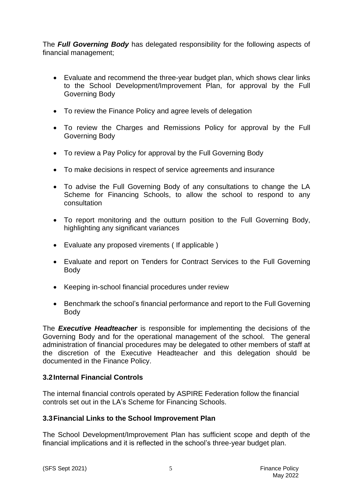The *Full Governing Body* has delegated responsibility for the following aspects of financial management;

- Evaluate and recommend the three-year budget plan, which shows clear links to the School Development/Improvement Plan, for approval by the Full Governing Body
- To review the Finance Policy and agree levels of delegation
- To review the Charges and Remissions Policy for approval by the Full Governing Body
- To review a Pay Policy for approval by the Full Governing Body
- To make decisions in respect of service agreements and insurance
- To advise the Full Governing Body of any consultations to change the LA Scheme for Financing Schools, to allow the school to respond to any consultation
- To report monitoring and the outturn position to the Full Governing Body, highlighting any significant variances
- Evaluate any proposed virements ( If applicable )
- Evaluate and report on Tenders for Contract Services to the Full Governing Body
- Keeping in-school financial procedures under review
- Benchmark the school's financial performance and report to the Full Governing Body

The *Executive Headteacher* is responsible for implementing the decisions of the Governing Body and for the operational management of the school. The general administration of financial procedures may be delegated to other members of staff at the discretion of the Executive Headteacher and this delegation should be documented in the Finance Policy.

### **3.2Internal Financial Controls**

The internal financial controls operated by ASPIRE Federation follow the financial controls set out in the LA's Scheme for Financing Schools.

### **3.3Financial Links to the School Improvement Plan**

The School Development/Improvement Plan has sufficient scope and depth of the financial implications and it is reflected in the school's three-year budget plan.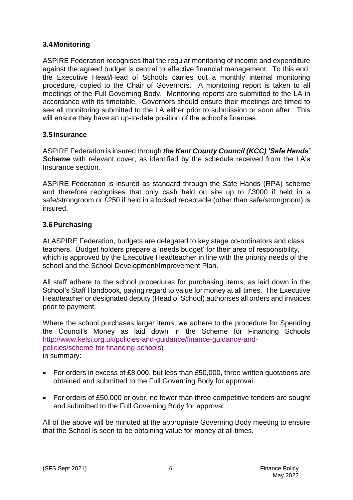### **3.4Monitoring**

ASPIRE Federation recognises that the regular monitoring of income and expenditure against the agreed budget is central to effective financial management. To this end, the Executive Head/Head of Schools carries out a monthly internal monitoring procedure, copied to the Chair of Governors. A monitoring report is taken to all meetings of the Full Governing Body. Monitoring reports are submitted to the LA in accordance with its timetable. Governors should ensure their meetings are timed to see all monitoring submitted to the LA either prior to submission or soon after. This will ensure they have an up-to-date position of the school's finances.

#### **3.5Insurance**

ASPIRE Federation is insured through *the Kent County Council (KCC) 'Safe Hands'*  **Scheme** with relevant cover, as identified by the schedule received from the LA's Insurance section.

ASPIRE Federation is insured as standard through the Safe Hands (RPA) scheme and therefore recognises that only cash held on site up to £3000 if held in a safe/strongroom or £250 if held in a locked receptacle (other than safe/strongroom) is insured.

#### **3.6Purchasing**

At ASPIRE Federation, budgets are delegated to key stage co-ordinators and class teachers. Budget holders prepare a 'needs budget' for their area of responsibility, which is approved by the Executive Headteacher in line with the priority needs of the school and the School Development/Improvement Plan.

All staff adhere to the school procedures for purchasing items, as laid down in the School's Staff Handbook, paying regard to value for money at all times. The Executive Headteacher or designated deputy (Head of School) authorises all orders and invoices prior to payment.

Where the school purchases larger items, we adhere to the procedure for Spending the Council's Money as laid down in the Scheme for Financing Schools [http://www.kelsi.org.uk/policies-and-guidance/finance-guidance-and](http://www.kelsi.org.uk/policies-and-guidance/finance-guidance-and-policies/scheme-for-financing-schools)[policies/scheme-for-financing-schools](http://www.kelsi.org.uk/policies-and-guidance/finance-guidance-and-policies/scheme-for-financing-schools)) in summary:

- For orders in excess of £8,000, but less than £50,000, three written quotations are obtained and submitted to the Full Governing Body for approval.
- For orders of £50,000 or over, no fewer than three competitive tenders are sought and submitted to the Full Governing Body for approval

All of the above will be minuted at the appropriate Governing Body meeting to ensure that the School is seen to be obtaining value for money at all times.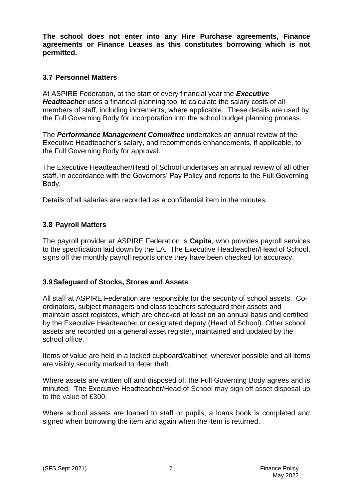**The school does not enter into any Hire Purchase agreements, Finance agreements or Finance Leases as this constitutes borrowing which is not permitted.**

#### **3.7 Personnel Matters**

At ASPIRE Federation, at the start of every financial year the *Executive Headteacher* uses a financial planning tool to calculate the salary costs of all members of staff, including increments, where applicable. These details are used by the Full Governing Body for incorporation into the school budget planning process.

The *Performance Management Committee* undertakes an annual review of the Executive Headteacher's salary, and recommends enhancements, if applicable, to the Full Governing Body for approval.

The Executive Headteacher/Head of School undertakes an annual review of all other staff, in accordance with the Governors' Pay Policy and reports to the Full Governing Body.

Details of all salaries are recorded as a confidential item in the minutes.

### **3.8 Payroll Matters**

The payroll provider at ASPIRE Federation is **Capita***,* who provides payroll services to the specification laid down by the LA. The Executive Headteacher/Head of School, signs off the monthly payroll reports once they have been checked for accuracy.

#### **3.9Safeguard of Stocks, Stores and Assets**

All staff at ASPIRE Federation are responsible for the security of school assets. Coordinators, subject managers and class teachers safeguard their assets and maintain asset registers, which are checked at least on an annual basis and certified by the Executive Headteacher or designated deputy (Head of School). Other school assets are recorded on a general asset register, maintained and updated by the school office.

Items of value are held in a locked cupboard/cabinet, wherever possible and all items are visibly security marked to deter theft.

Where assets are written off and disposed of, the Full Governing Body agrees and is minuted. The Executive Headteacher/Head of School may sign off asset disposal up to the value of £300.

Where school assets are loaned to staff or pupils, a loans book is completed and signed when borrowing the item and again when the item is returned.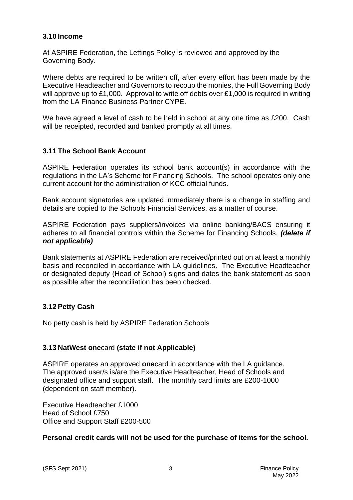#### **3.10 Income**

At ASPIRE Federation, the Lettings Policy is reviewed and approved by the Governing Body.

Where debts are required to be written off, after every effort has been made by the Executive Headteacher and Governors to recoup the monies, the Full Governing Body will approve up to £1,000. Approval to write off debts over £1,000 is required in writing from the LA Finance Business Partner CYPE.

We have agreed a level of cash to be held in school at any one time as £200. Cash will be receipted, recorded and banked promptly at all times.

#### **3.11 The School Bank Account**

ASPIRE Federation operates its school bank account(s) in accordance with the regulations in the LA's Scheme for Financing Schools.The school operates only one current account for the administration of KCC official funds.

Bank account signatories are updated immediately there is a change in staffing and details are copied to the Schools Financial Services, as a matter of course.

ASPIRE Federation pays suppliers/invoices via online banking/BACS ensuring it adheres to all financial controls within the Scheme for Financing Schools. *(delete if not applicable)*

Bank statements at ASPIRE Federation are received/printed out on at least a monthly basis and reconciled in accordance with LA guidelines. The Executive Headteacher or designated deputy (Head of School) signs and dates the bank statement as soon as possible after the reconciliation has been checked.

#### **3.12 Petty Cash**

No petty cash is held by ASPIRE Federation Schools

#### **3.13 NatWest one**card **(state if not Applicable)**

ASPIRE operates an approved **one**card in accordance with the LA guidance. The approved user/s is/are the Executive Headteacher, Head of Schools and designated office and support staff. The monthly card limits are £200-1000 (dependent on staff member).

Executive Headteacher £1000 Head of School £750 Office and Support Staff £200-500

#### **Personal credit cards will not be used for the purchase of items for the school.**